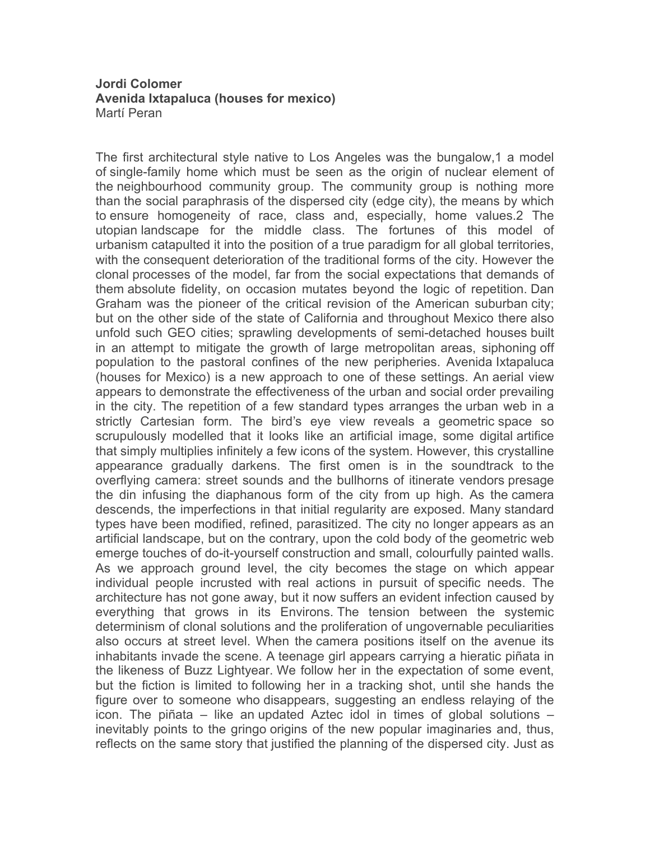## **Jordi Colomer Avenida Ixtapaluca (houses for mexico)** Martí Peran

The first architectural style native to Los Angeles was the bungalow,1 a model of single-family home which must be seen as the origin of nuclear element of the neighbourhood community group. The community group is nothing more than the social paraphrasis of the dispersed city (edge city), the means by which to ensure homogeneity of race, class and, especially, home values.2 The utopian landscape for the middle class. The fortunes of this model of urbanism catapulted it into the position of a true paradigm for all global territories, with the consequent deterioration of the traditional forms of the city. However the clonal processes of the model, far from the social expectations that demands of them absolute fidelity, on occasion mutates beyond the logic of repetition. Dan Graham was the pioneer of the critical revision of the American suburban city; but on the other side of the state of California and throughout Mexico there also unfold such GEO cities; sprawling developments of semi-detached houses built in an attempt to mitigate the growth of large metropolitan areas, siphoning off population to the pastoral confines of the new peripheries. Avenida Ixtapaluca (houses for Mexico) is a new approach to one of these settings. An aerial view appears to demonstrate the effectiveness of the urban and social order prevailing in the city. The repetition of a few standard types arranges the urban web in a strictly Cartesian form. The bird's eye view reveals a geometric space so scrupulously modelled that it looks like an artificial image, some digital artifice that simply multiplies infinitely a few icons of the system. However, this crystalline appearance gradually darkens. The first omen is in the soundtrack to the overflying camera: street sounds and the bullhorns of itinerate vendors presage the din infusing the diaphanous form of the city from up high. As the camera descends, the imperfections in that initial regularity are exposed. Many standard types have been modified, refined, parasitized. The city no longer appears as an artificial landscape, but on the contrary, upon the cold body of the geometric web emerge touches of do-it-yourself construction and small, colourfully painted walls. As we approach ground level, the city becomes the stage on which appear individual people incrusted with real actions in pursuit of specific needs. The architecture has not gone away, but it now suffers an evident infection caused by everything that grows in its Environs. The tension between the systemic determinism of clonal solutions and the proliferation of ungovernable peculiarities also occurs at street level. When the camera positions itself on the avenue its inhabitants invade the scene. A teenage girl appears carrying a hieratic piñata in the likeness of Buzz Lightyear. We follow her in the expectation of some event, but the fiction is limited to following her in a tracking shot, until she hands the figure over to someone who disappears, suggesting an endless relaying of the icon. The piñata – like an updated Aztec idol in times of global solutions – inevitably points to the gringo origins of the new popular imaginaries and, thus, reflects on the same story that justified the planning of the dispersed city. Just as